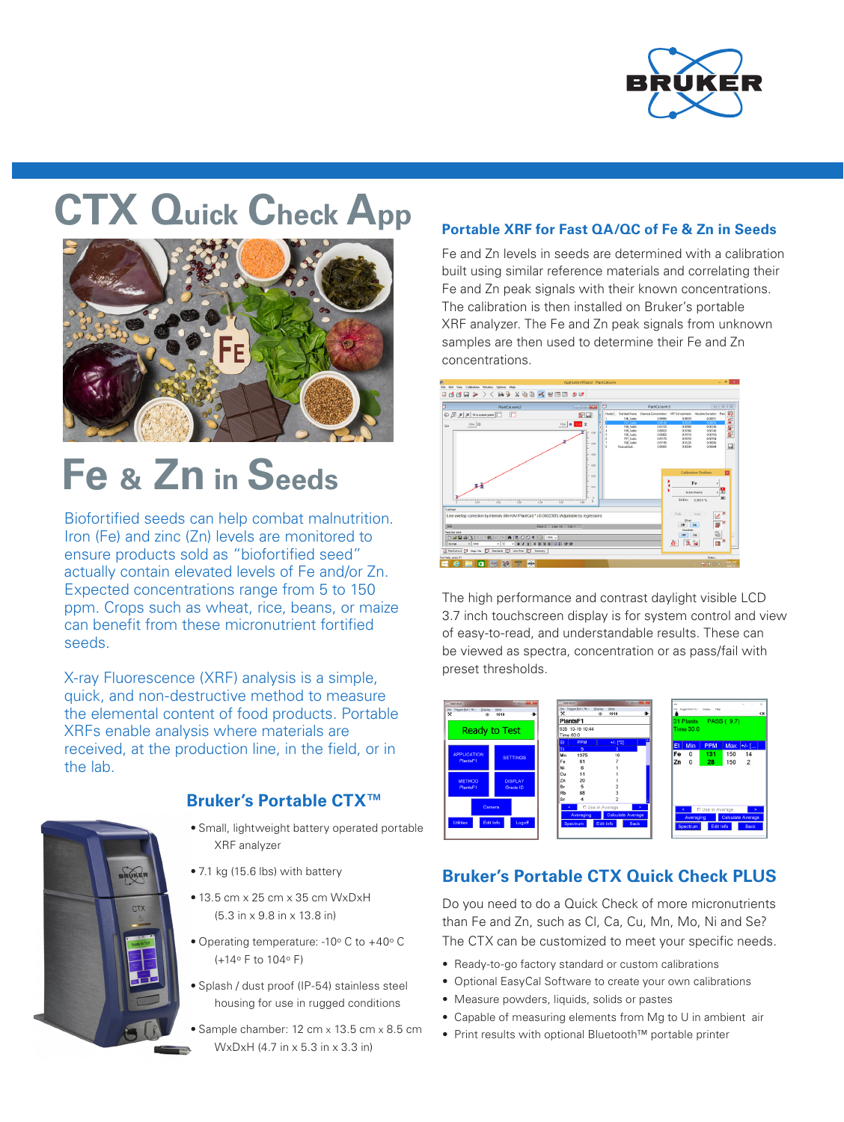

# **CTX Quick Check App**



# **Fe & Zn in Seeds**

Biofortified seeds can help combat malnutrition. Iron (Fe) and zinc (Zn) levels are monitored to ensure products sold as "biofortified seed" actually contain elevated levels of Fe and/or Zn. Expected concentrations range from 5 to 150 ppm. Crops such as wheat, rice, beans, or maize can benefit from these micronutrient fortified seeds.

X-ray Fluorescence (XRF) analysis is a simple, quick, and non-destructive method to measure the elemental content of food products. Portable XRFs enable analysis where materials are received, at the production line, in the field, or in the lab.



### **Bruker's Portable CTX™**

- Small, lightweight battery operated portable XRF analyzer
- 7.1 kg (15.6 lbs) with battery
- 13.5 cm x 25 cm x 35 cm WxDxH (5.3 in x 9.8 in x 13.8 in)
- Operating temperature: -10° C to +40° C (+14o F to 104o F)
- Splash / dust proof (IP-54) stainless steel housing for use in rugged conditions
- Sample chamber: 12 cm x 13.5 cm x 8.5 cm WxDxH (4.7 in x 5.3 in x 3.3 in)

### **Portable XRF for Fast QA/QC of Fe & Zn in Seeds**

Fe and Zn levels in seeds are determined with a calibration built using similar reference materials and correlating their Fe and Zn peak signals with their known concentrations. The calibration is then installed on Bruker's portable XRF analyzer. The Fe and Zn peak signals from unknown samples are then used to determine their Fe and Zn concentrations.



The high performance and contrast daylight visible LCD 3.7 inch touchscreen display is for system control and view of easy-to-read, and understandable results. These can be viewed as spectra, concentration or as pass/fail with preset thresholds.



# **Bruker's Portable CTX Quick Check PLUS**

Do you need to do a Quick Check of more micronutrients than Fe and Zn, such as Cl, Ca, Cu, Mn, Mo, Ni and Se? The CTX can be customized to meet your specific needs.

- Ready-to-go factory standard or custom calibrations
- Optional EasyCal Software to create your own calibrations
- Measure powders, liquids, solids or pastes
- Capable of measuring elements from Mg to U in ambient air
- Print results with optional Bluetooth™ portable printer